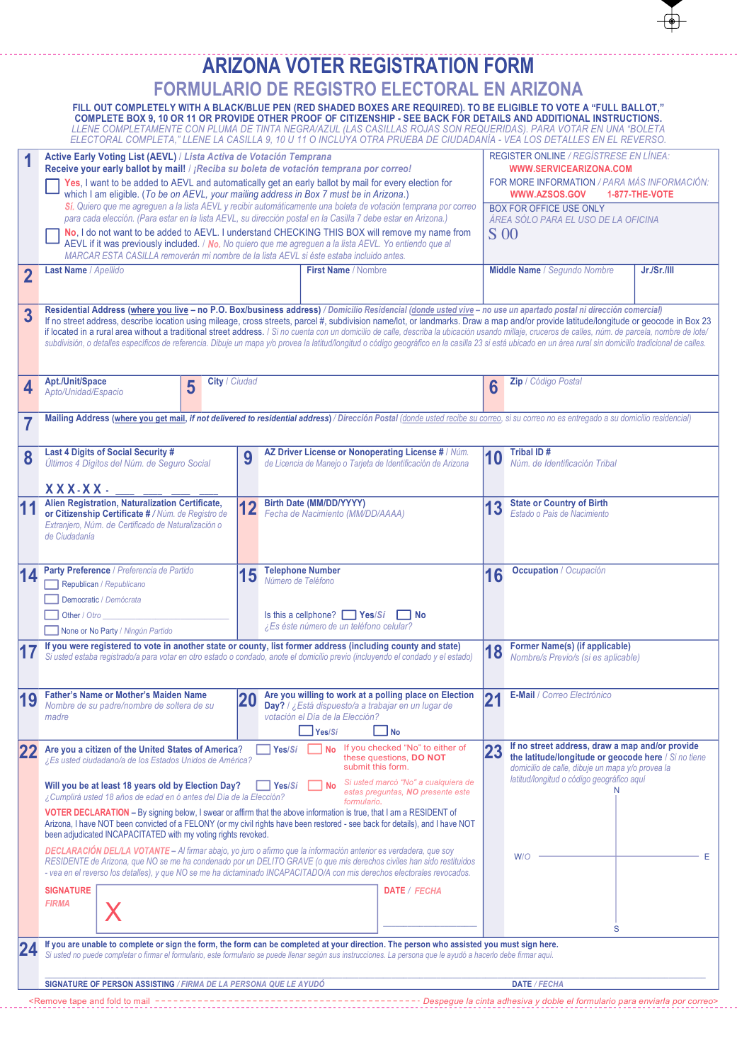|                |                                                                                                                                                                                                                                                                                                                                                                                                                                                                                                                                                                                  |                                                                                                                                                                                                                                                                                                              |   |               | <b>ARIZONA VOTER REGISTRATION FORM</b>                                                                                                   |  |                               |                                                                                                                                                                                                                                                                                                                                                                                                                                                                                                                                                                                                                                                                                                                                                                                    |  |  |
|----------------|----------------------------------------------------------------------------------------------------------------------------------------------------------------------------------------------------------------------------------------------------------------------------------------------------------------------------------------------------------------------------------------------------------------------------------------------------------------------------------------------------------------------------------------------------------------------------------|--------------------------------------------------------------------------------------------------------------------------------------------------------------------------------------------------------------------------------------------------------------------------------------------------------------|---|---------------|------------------------------------------------------------------------------------------------------------------------------------------|--|-------------------------------|------------------------------------------------------------------------------------------------------------------------------------------------------------------------------------------------------------------------------------------------------------------------------------------------------------------------------------------------------------------------------------------------------------------------------------------------------------------------------------------------------------------------------------------------------------------------------------------------------------------------------------------------------------------------------------------------------------------------------------------------------------------------------------|--|--|
|                |                                                                                                                                                                                                                                                                                                                                                                                                                                                                                                                                                                                  |                                                                                                                                                                                                                                                                                                              |   |               | <b>FORMULARIO DE REGISTRO ELECTORAL EN ARIZONA</b>                                                                                       |  |                               |                                                                                                                                                                                                                                                                                                                                                                                                                                                                                                                                                                                                                                                                                                                                                                                    |  |  |
|                |                                                                                                                                                                                                                                                                                                                                                                                                                                                                                                                                                                                  |                                                                                                                                                                                                                                                                                                              |   |               |                                                                                                                                          |  |                               | FILL OUT COMPLETELY WITH A BLACK/BLUE PEN (RED SHADED BOXES ARE REQUIRED). TO BE ELIGIBLE TO VOTE A "FULL BALLOT,"<br>COMPLETE BOX 9, 10 OR 11 OR PROVIDE OTHER PROOF OF CITIZENSHIP - SEE BACK FOR DETAILS AND ADDITIONAL INSTRUCTIONS.<br>LLENE COMPLETAMENTE CON PLUMA DE TINTA NEGRA/AZUL (LAS CASILLAS ROJAS SON REQUERIDAS). PARA VOTAR EN UNA "BOLETA<br>ELECTORAL COMPLETA," LLENE LA CASILLA 9, 10 U 11 O INCLUYA OTRA PRUEBA DE CIUDADANÍA - VEA LOS DETALLES EN EL REVERSO.                                                                                                                                                                                                                                                                                             |  |  |
|                | Active Early Voting List (AEVL) / Lista Activa de Votación Temprana<br>Receive your early ballot by mail! / ¡Reciba su boleta de votación temprana por correo!<br>Yes, I want to be added to AEVL and automatically get an early ballot by mail for every election for<br>which I am eligible. (To be on AEVL, your mailing address in Box 7 must be in Arizona.)                                                                                                                                                                                                                |                                                                                                                                                                                                                                                                                                              |   |               |                                                                                                                                          |  |                               | REGISTER ONLINE / REGÍSTRESE EN LÍNEA:<br><b>WWW.SERVICEARIZONA.COM</b><br>FOR MORE INFORMATION / PARA MÁS INFORMACIÓN:<br><b>WWW.AZSOS.GOV</b><br><b>1-877-THE-VOTE</b>                                                                                                                                                                                                                                                                                                                                                                                                                                                                                                                                                                                                           |  |  |
|                | Sí. Quiero que me agreguen a la lista AEVL y recibir automáticamente una boleta de votación temprana por correo<br>para cada elección. (Para estar en la lista AEVL, su dirección postal en la Casilla 7 debe estar en Arizona.)<br>No, I do not want to be added to AEVL. I understand CHECKING THIS BOX will remove my name from<br>AEVL if it was previously included. / No. No quiero que me agreguen a la lista AEVL. Yo entiendo que al<br>MARCAR ESTA CASILLA removerán mi nombre de la lista AEVL si éste estaba incluido antes.                                         |                                                                                                                                                                                                                                                                                                              |   |               |                                                                                                                                          |  |                               | BOX FOR OFFICE USE ONLY<br>ÁREA SÓLO PARA EL USO DE LA OFICINA<br><b>S</b> 00                                                                                                                                                                                                                                                                                                                                                                                                                                                                                                                                                                                                                                                                                                      |  |  |
| $\overline{2}$ | Last Name / Apellido                                                                                                                                                                                                                                                                                                                                                                                                                                                                                                                                                             |                                                                                                                                                                                                                                                                                                              |   |               | First Name / Nombre                                                                                                                      |  |                               | Middle Name / Segundo Nombre<br>Jr./Sr./III                                                                                                                                                                                                                                                                                                                                                                                                                                                                                                                                                                                                                                                                                                                                        |  |  |
| 3              |                                                                                                                                                                                                                                                                                                                                                                                                                                                                                                                                                                                  |                                                                                                                                                                                                                                                                                                              |   |               |                                                                                                                                          |  |                               | Residential Address (where you live - no P.O. Box/business address) / Domicilio Residencial (donde usted vive - no use un apartado postal ni dirección comercial)<br>If no street address, describe location using mileage, cross streets, parcel #, subdivision name/lot, or landmarks. Draw a map and/or provide latitude/longitude or geocode in Box 23<br>if located in a rural area without a traditional street address. / Si no cuenta con un domicilio de calle, describa la ubicación usando millaje, cruceros de calles, núm. de parcela, nombre de lote/<br>subdivisión, o detalles específicos de referencia. Dibuje un mapa y/o provea la latitud/longitud o código geográfico en la casilla 23 si está ubicado en un área rural sin domicilio tradicional de calles. |  |  |
| 4              | Apt./Unit/Space<br>Apto/Unidad/Espacio                                                                                                                                                                                                                                                                                                                                                                                                                                                                                                                                           |                                                                                                                                                                                                                                                                                                              | 5 | City / Ciudad |                                                                                                                                          |  | 6                             | Zip / Código Postal                                                                                                                                                                                                                                                                                                                                                                                                                                                                                                                                                                                                                                                                                                                                                                |  |  |
| 7              |                                                                                                                                                                                                                                                                                                                                                                                                                                                                                                                                                                                  |                                                                                                                                                                                                                                                                                                              |   |               |                                                                                                                                          |  |                               | Mailing Address (where you get mail, if not delivered to residential address) / Dirección Postal (donde usted recibe su correo, si su correo no es entregado a su domicilio residencial)                                                                                                                                                                                                                                                                                                                                                                                                                                                                                                                                                                                           |  |  |
| 8              | Last 4 Digits of Social Security #<br>Últimos 4 Dígitos del Núm. de Seguro Social<br>XXX-XX-                                                                                                                                                                                                                                                                                                                                                                                                                                                                                     |                                                                                                                                                                                                                                                                                                              |   | 9             | AZ Driver License or Nonoperating License # / Núm.<br>de Licencia de Manejo o Tarjeta de Identificación de Arizona                       |  | 10                            | Tribal ID#<br>Núm, de Identificación Tribal                                                                                                                                                                                                                                                                                                                                                                                                                                                                                                                                                                                                                                                                                                                                        |  |  |
|                | Alien Registration, Naturalization Certificate,<br>or Citizenship Certificate # / Núm. de Registro de<br>Extranjero, Núm. de Certificado de Naturalización o<br>de Ciudadanía                                                                                                                                                                                                                                                                                                                                                                                                    |                                                                                                                                                                                                                                                                                                              |   | 12            | <b>Birth Date (MM/DD/YYYY)</b><br>Fecha de Nacimiento (MM/DD/AAAA)                                                                       |  | 13                            | <b>State or Country of Birth</b><br>Estado o País de Nacimiento                                                                                                                                                                                                                                                                                                                                                                                                                                                                                                                                                                                                                                                                                                                    |  |  |
|                | Party Preference / Preferencia de Partido<br>Republican / Republicano<br>Democratic / Demócrata<br>Other / Otro<br>None or No Party / Ningún Partido                                                                                                                                                                                                                                                                                                                                                                                                                             |                                                                                                                                                                                                                                                                                                              |   | 15            | <b>Telephone Number</b><br>Número de Teléfono<br>Is this a cellphone? $\Box$ Yes/Si $\Box$ No<br>¿Es éste número de un teléfono celular? |  | 16                            | <b>Occupation</b> / Ocupación                                                                                                                                                                                                                                                                                                                                                                                                                                                                                                                                                                                                                                                                                                                                                      |  |  |
|                | If you were registered to vote in another state or county, list former address (including county and state)<br>Si usted estaba registrado/a para votar en otro estado o condado, anote el domicilio previo (incluyendo el condado y el estado)                                                                                                                                                                                                                                                                                                                                   |                                                                                                                                                                                                                                                                                                              |   |               |                                                                                                                                          |  |                               | <b>Former Name(s) (if applicable)</b><br>Nombre/s Previo/s (si es aplicable)                                                                                                                                                                                                                                                                                                                                                                                                                                                                                                                                                                                                                                                                                                       |  |  |
| 19             | <b>Father's Name or Mother's Maiden Name</b><br>Are you willing to work at a polling place on Election<br><b>20</b><br>Nombre de su padre/nombre de soltera de su<br>Day? / ¿Está dispuesto/a a trabajar en un lugar de<br>votación el Día de la Elección?<br>madre<br>Yes/Si<br>l No                                                                                                                                                                                                                                                                                            |                                                                                                                                                                                                                                                                                                              |   |               |                                                                                                                                          |  | $\mathbf{24}$<br>$\mathbf{Z}$ | E-Mail / Correo Electrónico                                                                                                                                                                                                                                                                                                                                                                                                                                                                                                                                                                                                                                                                                                                                                        |  |  |
|                | If you checked "No" to either of<br>Are you a citizen of the United States of America?<br>Yes/Sí<br><b>No</b><br>these questions, DO NOT<br>¿Es usted ciudadano/a de los Estados Unidos de América?<br>submit this form.<br>Si usted marcó "No" a cualquiera de<br>Will you be at least 18 years old by Election Day?<br>Yes/Si<br><b>No</b><br>estas preguntas, NO presente este<br>¿Cumplirá usted 18 años de edad en ó antes del Día de la Elección?                                                                                                                          |                                                                                                                                                                                                                                                                                                              |   |               |                                                                                                                                          |  | 23                            | If no street address, draw a map and/or provide<br>the latitude/longitude or geocode here / Si no tiene<br>domicilio de calle, dibuje un mapa y/o provea la<br>latitud/longitud o código geográfico aquí                                                                                                                                                                                                                                                                                                                                                                                                                                                                                                                                                                           |  |  |
|                | formulario.<br>VOTER DECLARATION - By signing below, I swear or affirm that the above information is true, that I am a RESIDENT of<br>Arizona, I have NOT been convicted of a FELONY (or my civil rights have been restored - see back for details), and I have NOT<br>been adjudicated INCAPACITATED with my voting rights revoked.<br>DECLARACIÓN DEL/LA VOTANTE - Al firmar abajo, yo juro o afirmo que la información anterior es verdadera, que soy<br>RESIDENTE de Arizona, que NO se me ha condenado por un DELITO GRAVE (o que mis derechos civiles han sido restituidos |                                                                                                                                                                                                                                                                                                              |   |               |                                                                                                                                          |  |                               | W/O                                                                                                                                                                                                                                                                                                                                                                                                                                                                                                                                                                                                                                                                                                                                                                                |  |  |
|                | - vea en el reverso los detalles), y que NO se me ha dictaminado INCAPACITADO/A con mis derechos electorales revocados.<br><b>SIGNATURE</b><br>DATE / FECHA<br><b>FIRMA</b>                                                                                                                                                                                                                                                                                                                                                                                                      |                                                                                                                                                                                                                                                                                                              |   |               |                                                                                                                                          |  |                               |                                                                                                                                                                                                                                                                                                                                                                                                                                                                                                                                                                                                                                                                                                                                                                                    |  |  |
|                |                                                                                                                                                                                                                                                                                                                                                                                                                                                                                                                                                                                  | If you are unable to complete or sign the form, the form can be completed at your direction. The person who assisted you must sign here.<br>Si usted no puede completar o firmar el formulario, este formulario se puede llenar según sus instrucciones. La persona que le ayudó a hacerlo debe firmar aquí. |   |               |                                                                                                                                          |  |                               | S                                                                                                                                                                                                                                                                                                                                                                                                                                                                                                                                                                                                                                                                                                                                                                                  |  |  |
|                |                                                                                                                                                                                                                                                                                                                                                                                                                                                                                                                                                                                  |                                                                                                                                                                                                                                                                                                              |   |               |                                                                                                                                          |  |                               |                                                                                                                                                                                                                                                                                                                                                                                                                                                                                                                                                                                                                                                                                                                                                                                    |  |  |
|                | SIGNATURE OF PERSON ASSISTING / FIRMA DE LA PERSONA QUE LE AYUDÓ                                                                                                                                                                                                                                                                                                                                                                                                                                                                                                                 |                                                                                                                                                                                                                                                                                                              |   |               |                                                                                                                                          |  |                               | DATE / FECHA                                                                                                                                                                                                                                                                                                                                                                                                                                                                                                                                                                                                                                                                                                                                                                       |  |  |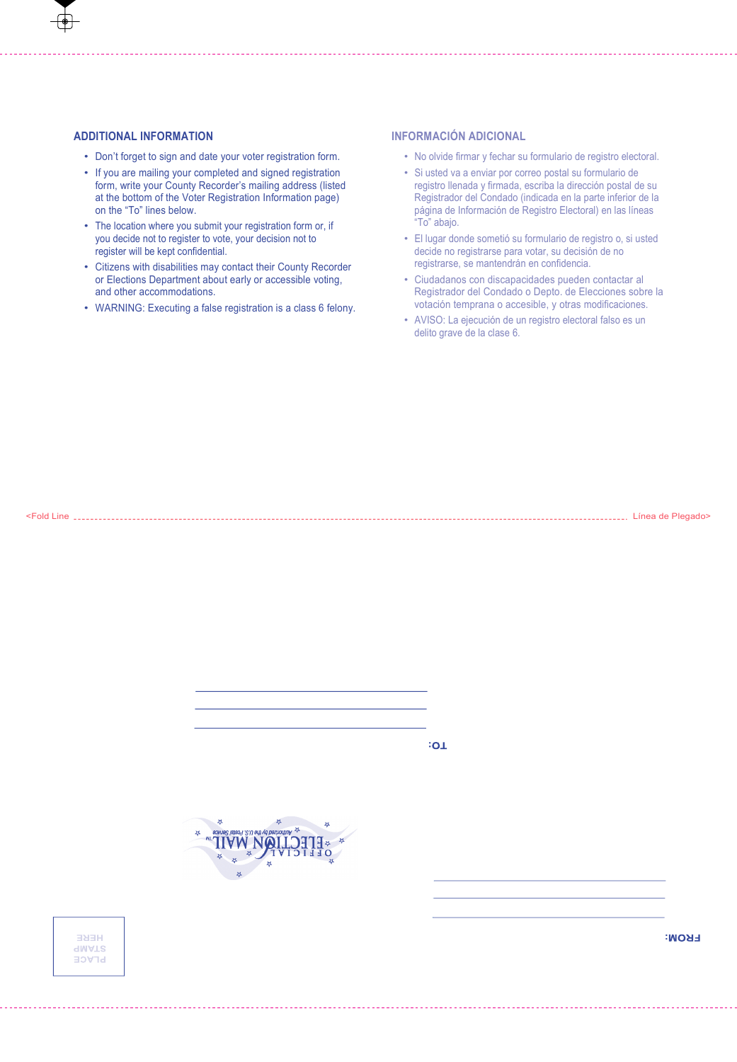# **ADDITIONAL INFORMATION**

- Don't forget to sign and date your voter registration form.
- If you are mailing your completed and signed registration form, write your County Recorder's mailing address (listed at the bottom of the Voter Registration Information page) on the "To" lines below.
- The location where you submit your registration form or, if you decide not to register to vote, your decision not to register will be kept confidential.
- Citizens with disabilities may contact their County Recorder or Elections Department about early or accessible voting, and other accommodations.
- WARNING: Executing a false registration is a class 6 felony.

# **INFORMACIÓN ADICIONAL**

- No olvide firmar y fechar su formulario de registro electoral.
- Si usted va a enviar por correo postal su formulario de registro llenada y firmada, escriba la dirección postal de su Registrador del Condado (indicada en la parte inferior de la página de Información de Registro Electoral) en las líneas "To" abajo.
- El lugar donde sometió su formulario de registro o, si usted decide no registrarse para votar, su decisión de no registrarse, se mantendrán en confidencia.
- Ciudadanos con discapacidades pueden contactar al Registrador del Condado o Depto. de Elecciones sobre la votación temprana o accesible, y otras modificaciones.
- AVISO: La ejecución de un registro electoral falso es un delito grave de la clase 6.

<Fold Line Línea de Plegado>

 $\overline{1}$ 





**FROM:**